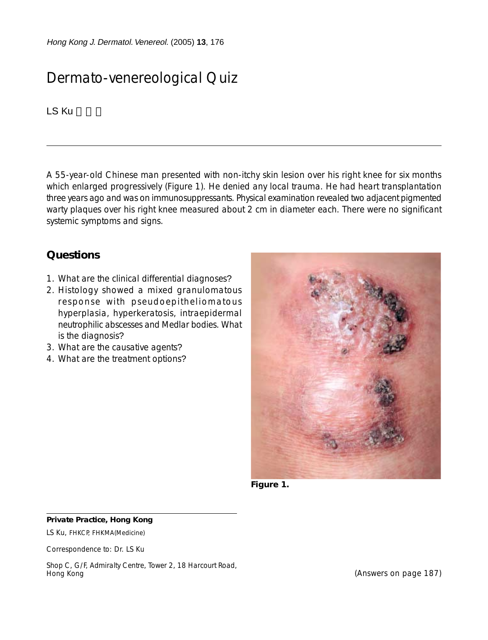Hong Kong J. Dermatol. Venereol. (2005) **13**, 176

## Dermato-venereological Quiz

LS Ku

A 55-year-old Chinese man presented with non-itchy skin lesion over his right knee for six months which enlarged progressively (Figure 1). He denied any local trauma. He had heart transplantation three years ago and was on immunosuppressants. Physical examination revealed two adjacent pigmented warty plaques over his right knee measured about 2 cm in diameter each. There were no significant systemic symptoms and signs.

## **Questions**

- 1. What are the clinical differential diagnoses?
- 2. Histology showed a mixed granulomatous response with pseudoepitheliomatous hyperplasia, hyperkeratosis, intraepidermal neutrophilic abscesses and Medlar bodies. What is the diagnosis?
- 3. What are the causative agents?
- 4. What are the treatment options?



**Figure 1.**

## **Private Practice, Hong Kong**

LS Ku, FHKCP, FHKMA(Medicine)

Correspondence to: Dr. LS Ku

Shop C, G/F, Admiralty Centre, Tower 2, 18 Harcourt Road, Hong Kong

(Answers on page 187)